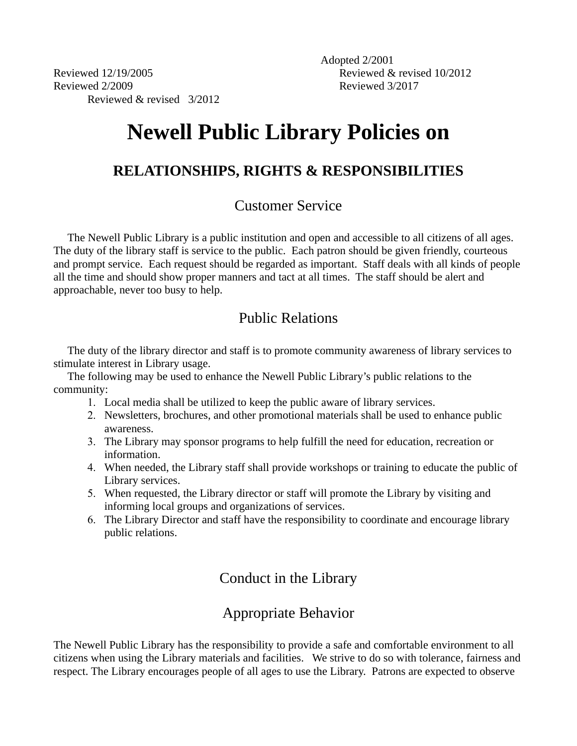Reviewed 12/19/2005 Reviewed 2/2009 Reviewed & revised 3/2012 Adopted 2/2001 Reviewed & revised 10/2012 Reviewed 3/2017

# **Newell Public Library Policies on**

## **RELATIONSHIPS, RIGHTS & RESPONSIBILITIES**

## Customer Service

 The Newell Public Library is a public institution and open and accessible to all citizens of all ages. The duty of the library staff is service to the public. Each patron should be given friendly, courteous and prompt service. Each request should be regarded as important. Staff deals with all kinds of people all the time and should show proper manners and tact at all times. The staff should be alert and approachable, never too busy to help.

# Public Relations

 The duty of the library director and staff is to promote community awareness of library services to stimulate interest in Library usage.

 The following may be used to enhance the Newell Public Library's public relations to the community:

- 1. Local media shall be utilized to keep the public aware of library services.
- 2. Newsletters, brochures, and other promotional materials shall be used to enhance public awareness.
- 3. The Library may sponsor programs to help fulfill the need for education, recreation or information.
- 4. When needed, the Library staff shall provide workshops or training to educate the public of Library services.
- 5. When requested, the Library director or staff will promote the Library by visiting and informing local groups and organizations of services.
- 6. The Library Director and staff have the responsibility to coordinate and encourage library public relations.

# Conduct in the Library

# Appropriate Behavior

The Newell Public Library has the responsibility to provide a safe and comfortable environment to all citizens when using the Library materials and facilities. We strive to do so with tolerance, fairness and respect. The Library encourages people of all ages to use the Library. Patrons are expected to observe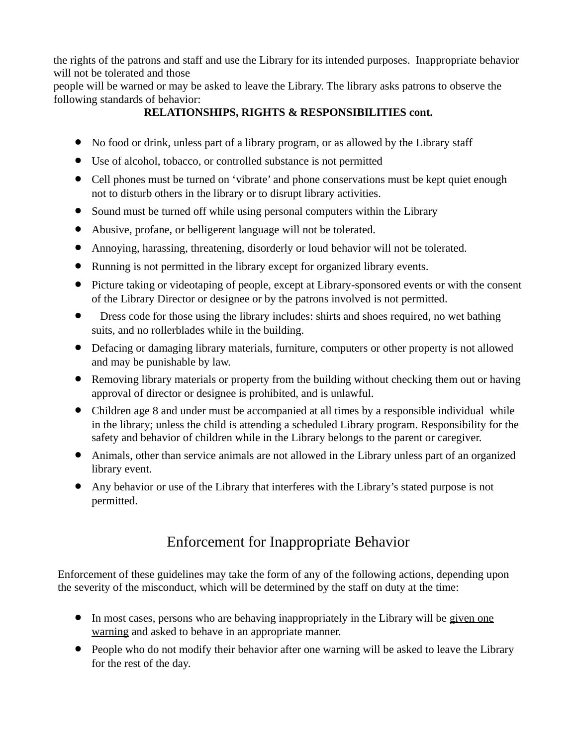the rights of the patrons and staff and use the Library for its intended purposes. Inappropriate behavior will not be tolerated and those

people will be warned or may be asked to leave the Library. The library asks patrons to observe the following standards of behavior:

### **RELATIONSHIPS, RIGHTS & RESPONSIBILITIES cont.**

- No food or drink, unless part of a library program, or as allowed by the Library staff
- Use of alcohol, tobacco, or controlled substance is not permitted
- Cell phones must be turned on 'vibrate' and phone conservations must be kept quiet enough not to disturb others in the library or to disrupt library activities.
- Sound must be turned off while using personal computers within the Library
- Abusive, profane, or belligerent language will not be tolerated.
- Annoying, harassing, threatening, disorderly or loud behavior will not be tolerated.
- Running is not permitted in the library except for organized library events.
- Picture taking or videotaping of people, except at Library-sponsored events or with the consent of the Library Director or designee or by the patrons involved is not permitted.
- Dress code for those using the library includes: shirts and shoes required, no wet bathing suits, and no rollerblades while in the building.
- Defacing or damaging library materials, furniture, computers or other property is not allowed and may be punishable by law.
- Removing library materials or property from the building without checking them out or having approval of director or designee is prohibited, and is unlawful.
- Children age 8 and under must be accompanied at all times by a responsible individual while in the library; unless the child is attending a scheduled Library program. Responsibility for the safety and behavior of children while in the Library belongs to the parent or caregiver.
- Animals, other than service animals are not allowed in the Library unless part of an organized library event.
- Any behavior or use of the Library that interferes with the Library's stated purpose is not permitted.

# Enforcement for Inappropriate Behavior

Enforcement of these guidelines may take the form of any of the following actions, depending upon the severity of the misconduct, which will be determined by the staff on duty at the time:

- In most cases, persons who are behaving inappropriately in the Library will be given one warning and asked to behave in an appropriate manner.
- People who do not modify their behavior after one warning will be asked to leave the Library for the rest of the day.